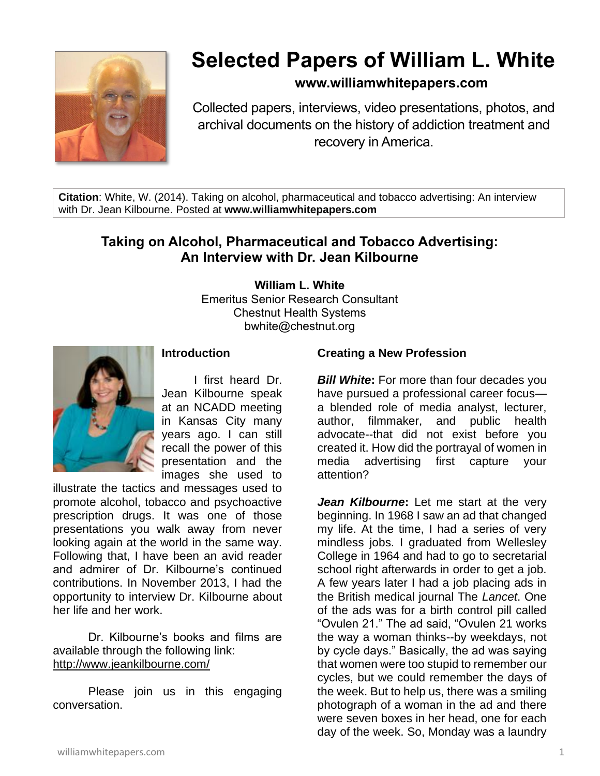

# **Selected Papers of William L. White**

## **www.williamwhitepapers.com**

Collected papers, interviews, video presentations, photos, and archival documents on the history of addiction treatment and recovery in America.

**Citation**: White, W. (2014). Taking on alcohol, pharmaceutical and tobacco advertising: An interview with Dr. Jean Kilbourne. Posted at **www.williamwhitepapers.com**

# **Taking on Alcohol, Pharmaceutical and Tobacco Advertising: An Interview with Dr. Jean Kilbourne**

**William L. White**

Emeritus Senior Research Consultant Chestnut Health Systems bwhite@chestnut.org



## **Introduction**

I first heard Dr. Jean Kilbourne speak at an NCADD meeting in Kansas City many years ago. I can still recall the power of this presentation and the images she used to

illustrate the tactics and messages used to promote alcohol, tobacco and psychoactive prescription drugs. It was one of those presentations you walk away from never looking again at the world in the same way. Following that, I have been an avid reader and admirer of Dr. Kilbourne's continued contributions. In November 2013, I had the opportunity to interview Dr. Kilbourne about her life and her work.

Dr. Kilbourne's books and films are available through the following link: <http://www.jeankilbourne.com/>

Please join us in this engaging conversation.

#### **Creating a New Profession**

*Bill White***:** For more than four decades you have pursued a professional career focus a blended role of media analyst, lecturer, author, filmmaker, and public health advocate--that did not exist before you created it. How did the portrayal of women in media advertising first capture your attention?

*Jean Kilbourne***:** Let me start at the very beginning. In 1968 I saw an ad that changed my life. At the time, I had a series of very mindless jobs. I graduated from Wellesley College in 1964 and had to go to secretarial school right afterwards in order to get a job. A few years later I had a job placing ads in the British medical journal The *Lancet*. One of the ads was for a birth control pill called "Ovulen 21." The ad said, "Ovulen 21 works the way a woman thinks--by weekdays, not by cycle days." Basically, the ad was saying that women were too stupid to remember our cycles, but we could remember the days of the week. But to help us, there was a smiling photograph of a woman in the ad and there were seven boxes in her head, one for each day of the week. So, Monday was a laundry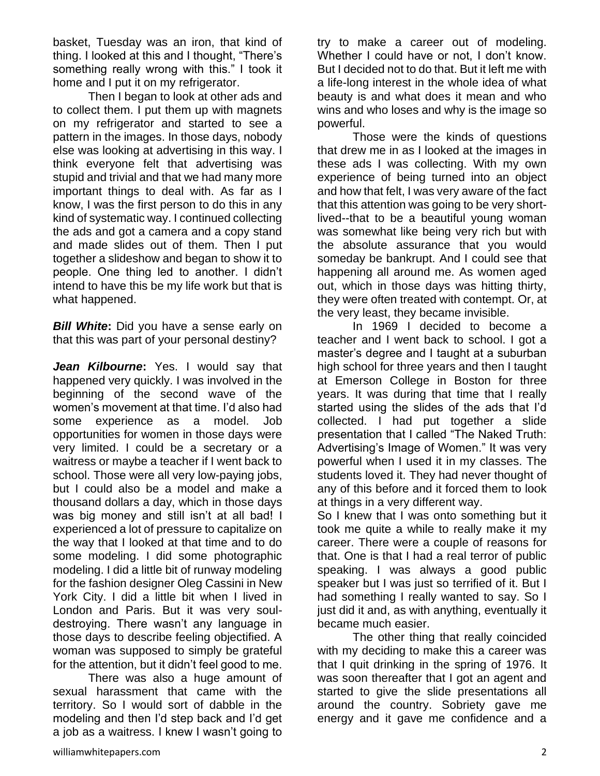basket, Tuesday was an iron, that kind of thing. I looked at this and I thought, "There's something really wrong with this." I took it home and I put it on my refrigerator.

Then I began to look at other ads and to collect them. I put them up with magnets on my refrigerator and started to see a pattern in the images. In those days, nobody else was looking at advertising in this way. I think everyone felt that advertising was stupid and trivial and that we had many more important things to deal with. As far as I know, I was the first person to do this in any kind of systematic way. I continued collecting the ads and got a camera and a copy stand and made slides out of them. Then I put together a slideshow and began to show it to people. One thing led to another. I didn't intend to have this be my life work but that is what happened.

*Bill White***:** Did you have a sense early on that this was part of your personal destiny?

*Jean Kilbourne***:** Yes. I would say that happened very quickly. I was involved in the beginning of the second wave of the women's movement at that time. I'd also had some experience as a model. Job opportunities for women in those days were very limited. I could be a secretary or a waitress or maybe a teacher if I went back to school. Those were all very low-paying jobs, but I could also be a model and make a thousand dollars a day, which in those days was big money and still isn't at all bad! I experienced a lot of pressure to capitalize on the way that I looked at that time and to do some modeling. I did some photographic modeling. I did a little bit of runway modeling for the fashion designer Oleg Cassini in New York City. I did a little bit when I lived in London and Paris. But it was very souldestroying. There wasn't any language in those days to describe feeling objectified. A woman was supposed to simply be grateful for the attention, but it didn't feel good to me.

There was also a huge amount of sexual harassment that came with the territory. So I would sort of dabble in the modeling and then I'd step back and I'd get a job as a waitress. I knew I wasn't going to

try to make a career out of modeling. Whether I could have or not. I don't know. But I decided not to do that. But it left me with a life-long interest in the whole idea of what beauty is and what does it mean and who wins and who loses and why is the image so powerful.

Those were the kinds of questions that drew me in as I looked at the images in these ads I was collecting. With my own experience of being turned into an object and how that felt, I was very aware of the fact that this attention was going to be very shortlived--that to be a beautiful young woman was somewhat like being very rich but with the absolute assurance that you would someday be bankrupt. And I could see that happening all around me. As women aged out, which in those days was hitting thirty, they were often treated with contempt. Or, at the very least, they became invisible.

In 1969 I decided to become a teacher and I went back to school. I got a master's degree and I taught at a suburban high school for three years and then I taught at Emerson College in Boston for three years. It was during that time that I really started using the slides of the ads that I'd collected. I had put together a slide presentation that I called "The Naked Truth: Advertising's Image of Women." It was very powerful when I used it in my classes. The students loved it. They had never thought of any of this before and it forced them to look at things in a very different way.

So I knew that I was onto something but it took me quite a while to really make it my career. There were a couple of reasons for that. One is that I had a real terror of public speaking. I was always a good public speaker but I was just so terrified of it. But I had something I really wanted to say. So I just did it and, as with anything, eventually it became much easier.

The other thing that really coincided with my deciding to make this a career was that I quit drinking in the spring of 1976. It was soon thereafter that I got an agent and started to give the slide presentations all around the country. Sobriety gave me energy and it gave me confidence and a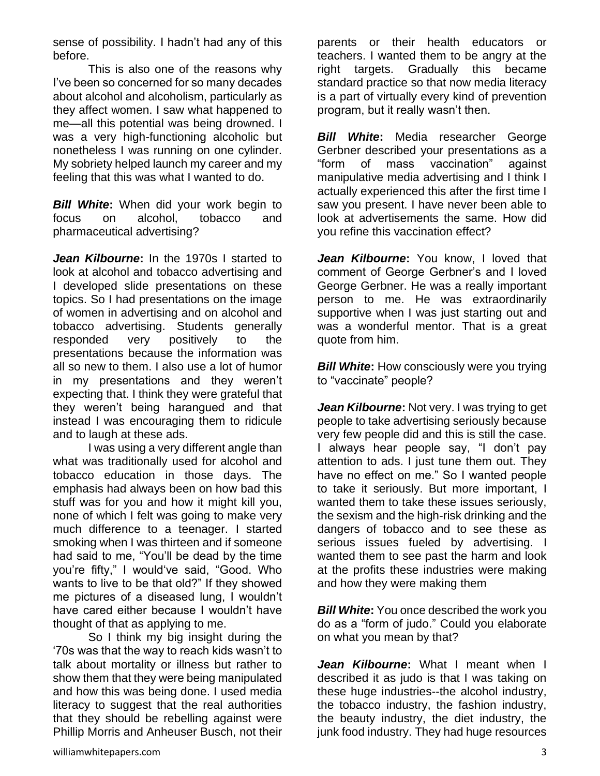sense of possibility. I hadn't had any of this before.

This is also one of the reasons why I've been so concerned for so many decades about alcohol and alcoholism, particularly as they affect women. I saw what happened to me—all this potential was being drowned. I was a very high-functioning alcoholic but nonetheless I was running on one cylinder. My sobriety helped launch my career and my feeling that this was what I wanted to do.

*Bill White***:** When did your work begin to focus on alcohol, tobacco and pharmaceutical advertising?

*Jean Kilbourne***:** In the 1970s I started to look at alcohol and tobacco advertising and I developed slide presentations on these topics. So I had presentations on the image of women in advertising and on alcohol and tobacco advertising. Students generally responded very positively to the presentations because the information was all so new to them. I also use a lot of humor in my presentations and they weren't expecting that. I think they were grateful that they weren't being harangued and that instead I was encouraging them to ridicule and to laugh at these ads.

I was using a very different angle than what was traditionally used for alcohol and tobacco education in those days. The emphasis had always been on how bad this stuff was for you and how it might kill you, none of which I felt was going to make very much difference to a teenager. I started smoking when I was thirteen and if someone had said to me, "You'll be dead by the time you're fifty," I would've said, "Good. Who wants to live to be that old?" If they showed me pictures of a diseased lung, I wouldn't have cared either because I wouldn't have thought of that as applying to me.

So I think my big insight during the '70s was that the way to reach kids wasn't to talk about mortality or illness but rather to show them that they were being manipulated and how this was being done. I used media literacy to suggest that the real authorities that they should be rebelling against were Phillip Morris and Anheuser Busch, not their

parents or their health educators or teachers. I wanted them to be angry at the right targets. Gradually this became standard practice so that now media literacy is a part of virtually every kind of prevention program, but it really wasn't then.

*Bill White***:** Media researcher George Gerbner described your presentations as a "form of mass vaccination" against manipulative media advertising and I think I actually experienced this after the first time I saw you present. I have never been able to look at advertisements the same. How did you refine this vaccination effect?

*Jean Kilbourne***:** You know, I loved that comment of George Gerbner's and I loved George Gerbner. He was a really important person to me. He was extraordinarily supportive when I was just starting out and was a wonderful mentor. That is a great quote from him.

*Bill White:* How consciously were you trying to "vaccinate" people?

*Jean Kilbourne***:** Not very. I was trying to get people to take advertising seriously because very few people did and this is still the case. I always hear people say, "I don't pay attention to ads. I just tune them out. They have no effect on me." So I wanted people to take it seriously. But more important, I wanted them to take these issues seriously, the sexism and the high-risk drinking and the dangers of tobacco and to see these as serious issues fueled by advertising. I wanted them to see past the harm and look at the profits these industries were making and how they were making them

*Bill White***:** You once described the work you do as a "form of judo." Could you elaborate on what you mean by that?

*Jean Kilbourne***:** What I meant when I described it as judo is that I was taking on these huge industries--the alcohol industry, the tobacco industry, the fashion industry, the beauty industry, the diet industry, the junk food industry. They had huge resources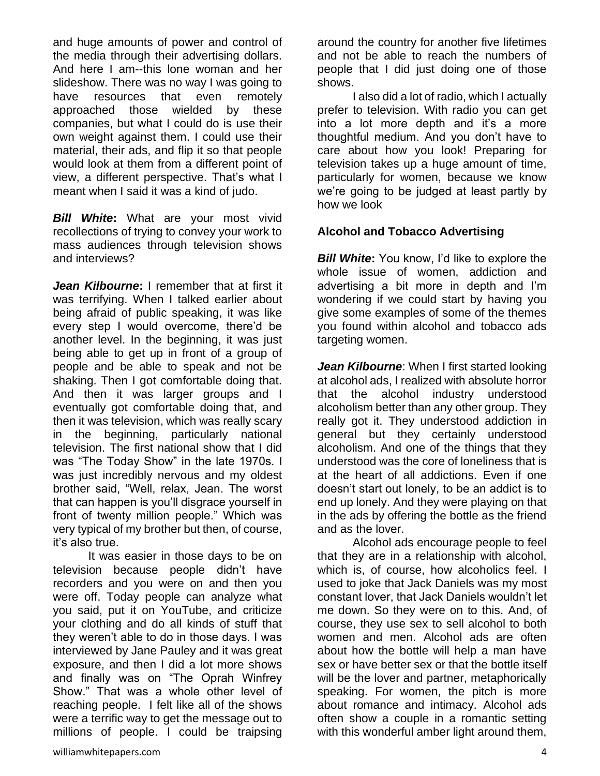and huge amounts of power and control of the media through their advertising dollars. And here I am--this lone woman and her slideshow. There was no way I was going to have resources that even remotely approached those wielded by these companies, but what I could do is use their own weight against them. I could use their material, their ads, and flip it so that people would look at them from a different point of view, a different perspective. That's what I meant when I said it was a kind of judo.

*Bill White***:** What are your most vivid recollections of trying to convey your work to mass audiences through television shows and interviews?

*Jean Kilbourne***:** I remember that at first it was terrifying. When I talked earlier about being afraid of public speaking, it was like every step I would overcome, there'd be another level. In the beginning, it was just being able to get up in front of a group of people and be able to speak and not be shaking. Then I got comfortable doing that. And then it was larger groups and I eventually got comfortable doing that, and then it was television, which was really scary in the beginning, particularly national television. The first national show that I did was "The Today Show" in the late 1970s. I was just incredibly nervous and my oldest brother said, "Well, relax, Jean. The worst that can happen is you'll disgrace yourself in front of twenty million people." Which was very typical of my brother but then, of course, it's also true.

It was easier in those days to be on television because people didn't have recorders and you were on and then you were off. Today people can analyze what you said, put it on YouTube, and criticize your clothing and do all kinds of stuff that they weren't able to do in those days. I was interviewed by Jane Pauley and it was great exposure, and then I did a lot more shows and finally was on "The Oprah Winfrey Show." That was a whole other level of reaching people. I felt like all of the shows were a terrific way to get the message out to millions of people. I could be traipsing

around the country for another five lifetimes and not be able to reach the numbers of people that I did just doing one of those shows.

I also did a lot of radio, which I actually prefer to television. With radio you can get into a lot more depth and it's a more thoughtful medium. And you don't have to care about how you look! Preparing for television takes up a huge amount of time, particularly for women, because we know we're going to be judged at least partly by how we look

# **Alcohol and Tobacco Advertising**

*Bill White:* You know, I'd like to explore the whole issue of women, addiction and advertising a bit more in depth and I'm wondering if we could start by having you give some examples of some of the themes you found within alcohol and tobacco ads targeting women.

*Jean Kilbourne*: When I first started looking at alcohol ads, I realized with absolute horror that the alcohol industry understood alcoholism better than any other group. They really got it. They understood addiction in general but they certainly understood alcoholism. And one of the things that they understood was the core of loneliness that is at the heart of all addictions. Even if one doesn't start out lonely, to be an addict is to end up lonely. And they were playing on that in the ads by offering the bottle as the friend and as the lover.

Alcohol ads encourage people to feel that they are in a relationship with alcohol, which is, of course, how alcoholics feel. I used to joke that Jack Daniels was my most constant lover, that Jack Daniels wouldn't let me down. So they were on to this. And, of course, they use sex to sell alcohol to both women and men. Alcohol ads are often about how the bottle will help a man have sex or have better sex or that the bottle itself will be the lover and partner, metaphorically speaking. For women, the pitch is more about romance and intimacy. Alcohol ads often show a couple in a romantic setting with this wonderful amber light around them,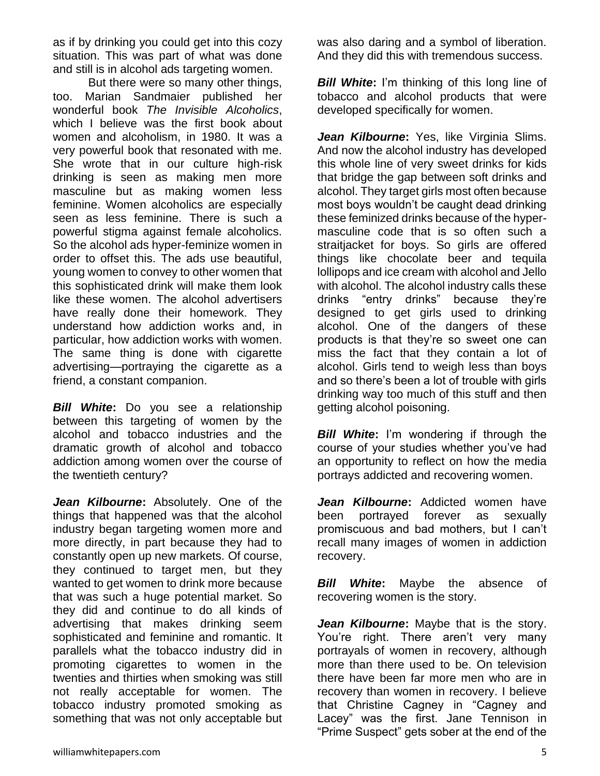as if by drinking you could get into this cozy situation. This was part of what was done and still is in alcohol ads targeting women.

But there were so many other things, too. Marian Sandmaier published her wonderful book *The Invisible Alcoholics*, which I believe was the first book about women and alcoholism, in 1980. It was a very powerful book that resonated with me. She wrote that in our culture high-risk drinking is seen as making men more masculine but as making women less feminine. Women alcoholics are especially seen as less feminine. There is such a powerful stigma against female alcoholics. So the alcohol ads hyper-feminize women in order to offset this. The ads use beautiful, young women to convey to other women that this sophisticated drink will make them look like these women. The alcohol advertisers have really done their homework. They understand how addiction works and, in particular, how addiction works with women. The same thing is done with cigarette advertising—portraying the cigarette as a friend, a constant companion.

*Bill White***:** Do you see a relationship between this targeting of women by the alcohol and tobacco industries and the dramatic growth of alcohol and tobacco addiction among women over the course of the twentieth century?

*Jean Kilbourne***:** Absolutely. One of the things that happened was that the alcohol industry began targeting women more and more directly, in part because they had to constantly open up new markets. Of course, they continued to target men, but they wanted to get women to drink more because that was such a huge potential market. So they did and continue to do all kinds of advertising that makes drinking seem sophisticated and feminine and romantic. It parallels what the tobacco industry did in promoting cigarettes to women in the twenties and thirties when smoking was still not really acceptable for women. The tobacco industry promoted smoking as something that was not only acceptable but

was also daring and a symbol of liberation. And they did this with tremendous success.

*Bill White:* I'm thinking of this long line of tobacco and alcohol products that were developed specifically for women.

*Jean Kilbourne***:** Yes, like Virginia Slims. And now the alcohol industry has developed this whole line of very sweet drinks for kids that bridge the gap between soft drinks and alcohol. They target girls most often because most boys wouldn't be caught dead drinking these feminized drinks because of the hypermasculine code that is so often such a straitjacket for boys. So girls are offered things like chocolate beer and tequila lollipops and ice cream with alcohol and Jello with alcohol. The alcohol industry calls these drinks "entry drinks" because they're designed to get girls used to drinking alcohol. One of the dangers of these products is that they're so sweet one can miss the fact that they contain a lot of alcohol. Girls tend to weigh less than boys and so there's been a lot of trouble with girls drinking way too much of this stuff and then getting alcohol poisoning.

*Bill White***:** I'm wondering if through the course of your studies whether you've had an opportunity to reflect on how the media portrays addicted and recovering women.

*Jean Kilbourne***:** Addicted women have been portrayed forever as sexually promiscuous and bad mothers, but I can't recall many images of women in addiction recovery.

*Bill White***:** Maybe the absence of recovering women is the story.

*Jean Kilbourne***:** Maybe that is the story. You're right. There aren't very many portrayals of women in recovery, although more than there used to be. On television there have been far more men who are in recovery than women in recovery. I believe that Christine Cagney in "Cagney and Lacey" was the first. Jane Tennison in "Prime Suspect" gets sober at the end of the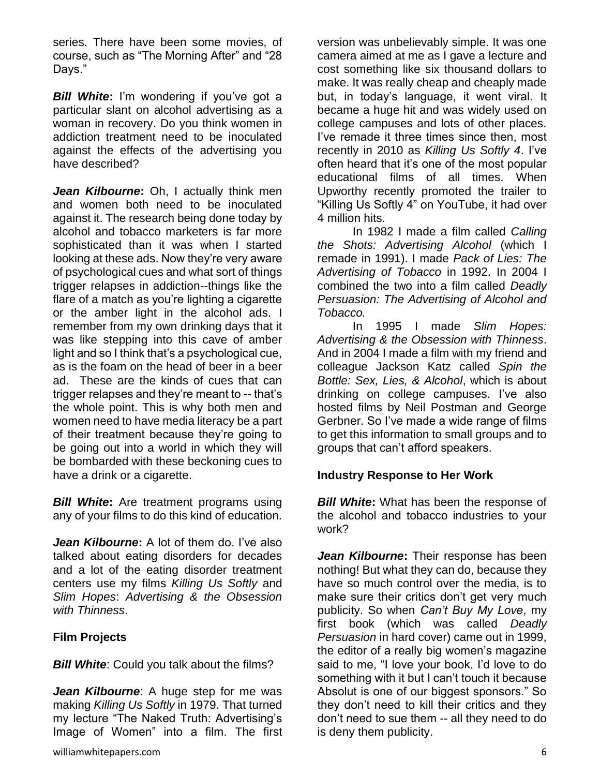series. There have been some movies, of course, such as "The Morning After" and "28 Days."

*Bill White***:** I'm wondering if you've got a particular slant on alcohol advertising as a woman in recovery. Do you think women in addiction treatment need to be inoculated against the effects of the advertising you have described?

*Jean Kilbourne***:** Oh, I actually think men and women both need to be inoculated against it. The research being done today by alcohol and tobacco marketers is far more sophisticated than it was when I started looking at these ads. Now they're very aware of psychological cues and what sort of things trigger relapses in addiction--things like the flare of a match as you're lighting a cigarette or the amber light in the alcohol ads. I remember from my own drinking days that it was like stepping into this cave of amber light and so I think that's a psychological cue, as is the foam on the head of beer in a beer ad. These are the kinds of cues that can trigger relapses and they're meant to -- that's the whole point. This is why both men and women need to have media literacy be a part of their treatment because they're going to be going out into a world in which they will be bombarded with these beckoning cues to have a drink or a cigarette.

*Bill White***:** Are treatment programs using any of your films to do this kind of education.

*Jean Kilbourne***:** A lot of them do. I've also talked about eating disorders for decades and a lot of the eating disorder treatment centers use my films *Killing Us Softly* and *Slim Hopes*: *Advertising & the Obsession with Thinness*.

## **Film Projects**

**Bill White:** Could you talk about the films?

*Jean Kilbourne*: A huge step for me was making *Killing Us Softly* in 1979. That turned my lecture "The Naked Truth: Advertising's Image of Women" into a film. The first version was unbelievably simple. It was one camera aimed at me as I gave a lecture and cost something like six thousand dollars to make. It was really cheap and cheaply made but, in today's language, it went viral. It became a huge hit and was widely used on college campuses and lots of other places. I've remade it three times since then, most recently in 2010 as *Killing Us Softly 4*. I've often heard that it's one of the most popular educational films of all times. When Upworthy recently promoted the trailer to "Killing Us Softly 4" on YouTube, it had over 4 million hits.

In 1982 I made a film called *Calling the Shots: Advertising Alcohol* (which I remade in 1991). I made *Pack of Lies: The Advertising of Tobacco* in 1992. In 2004 I combined the two into a film called *Deadly Persuasion: The Advertising of Alcohol and Tobacco.* 

In 1995 I made *Slim Hopes: Advertising & the Obsession with Thinness*. And in 2004 I made a film with my friend and colleague Jackson Katz called *Spin the Bottle: Sex, Lies, & Alcohol*, which is about drinking on college campuses. I've also hosted films by Neil Postman and George Gerbner. So I've made a wide range of films to get this information to small groups and to groups that can't afford speakers.

#### **Industry Response to Her Work**

*Bill White***:** What has been the response of the alcohol and tobacco industries to your work?

**Jean Kilbourne:** Their response has been nothing! But what they can do, because they have so much control over the media, is to make sure their critics don't get very much publicity. So when *Can't Buy My Love*, my first book (which was called *Deadly Persuasion* in hard cover) came out in 1999, the editor of a really big women's magazine said to me, "I love your book. I'd love to do something with it but I can't touch it because Absolut is one of our biggest sponsors." So they don't need to kill their critics and they don't need to sue them -- all they need to do is deny them publicity.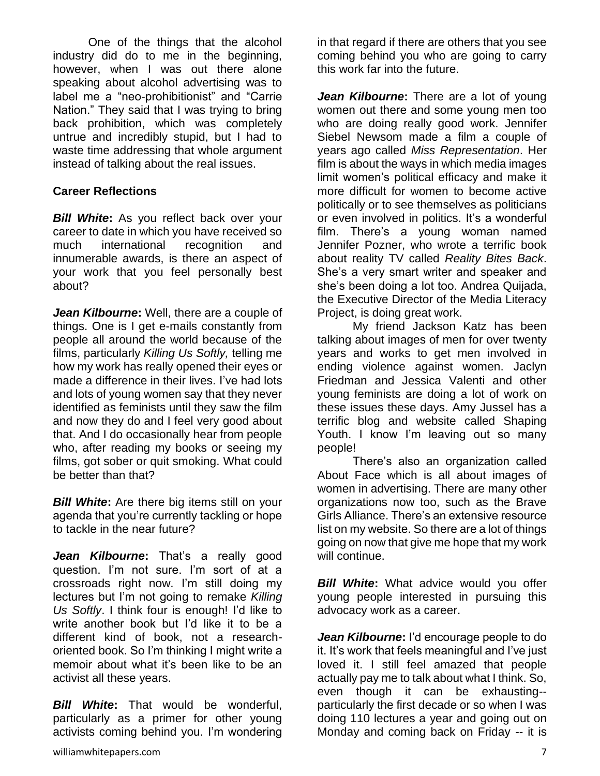One of the things that the alcohol industry did do to me in the beginning, however, when I was out there alone speaking about alcohol advertising was to label me a "neo-prohibitionist" and "Carrie Nation." They said that I was trying to bring back prohibition, which was completely untrue and incredibly stupid, but I had to waste time addressing that whole argument instead of talking about the real issues.

## **Career Reflections**

*Bill White***:** As you reflect back over your career to date in which you have received so much international recognition and innumerable awards, is there an aspect of your work that you feel personally best about?

*Jean Kilbourne***:** Well, there are a couple of things. One is I get e-mails constantly from people all around the world because of the films, particularly *Killing Us Softly,* telling me how my work has really opened their eyes or made a difference in their lives. I've had lots and lots of young women say that they never identified as feminists until they saw the film and now they do and I feel very good about that. And I do occasionally hear from people who, after reading my books or seeing my films, got sober or quit smoking. What could be better than that?

*Bill White:* Are there big items still on your agenda that you're currently tackling or hope to tackle in the near future?

*Jean Kilbourne***:** That's a really good question. I'm not sure. I'm sort of at a crossroads right now. I'm still doing my lectures but I'm not going to remake *Killing Us Softly*. I think four is enough! I'd like to write another book but I'd like it to be a different kind of book, not a researchoriented book. So I'm thinking I might write a memoir about what it's been like to be an activist all these years.

*Bill White***:** That would be wonderful, particularly as a primer for other young activists coming behind you. I'm wondering in that regard if there are others that you see coming behind you who are going to carry this work far into the future.

*Jean Kilbourne***:** There are a lot of young women out there and some young men too who are doing really good work. Jennifer Siebel Newsom made a film a couple of years ago called *Miss Representation*. Her film is about the ways in which media images limit women's political efficacy and make it more difficult for women to become active politically or to see themselves as politicians or even involved in politics. It's a wonderful film. There's a young woman named Jennifer Pozner, who wrote a terrific book about reality TV called *Reality Bites Back*. She's a very smart writer and speaker and she's been doing a lot too. Andrea Quijada, the Executive Director of the Media Literacy Project, is doing great work.

My friend Jackson Katz has been talking about images of men for over twenty years and works to get men involved in ending violence against women. Jaclyn Friedman and Jessica Valenti and other young feminists are doing a lot of work on these issues these days. Amy Jussel has a terrific blog and website called Shaping Youth. I know I'm leaving out so many people!

There's also an organization called About Face which is all about images of women in advertising. There are many other organizations now too, such as the Brave Girls Alliance. There's an extensive resource list on my website. So there are a lot of things going on now that give me hope that my work will continue.

*Bill White:* What advice would you offer young people interested in pursuing this advocacy work as a career.

*Jean Kilbourne***:** I'd encourage people to do it. It's work that feels meaningful and I've just loved it. I still feel amazed that people actually pay me to talk about what I think. So, even though it can be exhausting- particularly the first decade or so when I was doing 110 lectures a year and going out on Monday and coming back on Friday -- it is